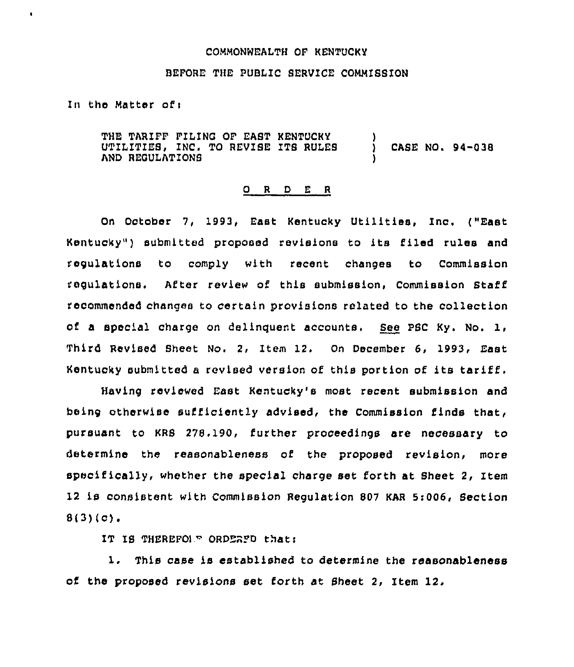## COMMONWEALTH OF KENTUCKY

## BEFORE THE PUBLIC SERVICE COMMISSION

In the Matter ofi

 $\bullet$ 

THE TARIFF FILING OF EAST KENTUCKY UTILITIES, INC, TO REUISE ITS RULES AND REGULATIONS ) ) CASE NO. 94-03e )

## 0 <sup>R</sup> <sup>D</sup> E <sup>R</sup>

On October 7, 1993, East Kentucky Utilities, Inc, ("East Kentucky" ) submitted proposed revisions to its filed rules and regulations to comply with recent changes to Commission regulations, After review of this submission, commission staff recommended changes to certain provisions related to the collection of a special charge on delinquent accounts, See PSC Ky. No. 1, Third Revised Sheet No. 2, Item 12. On December 6, 1993, East Kentucky submitted <sup>a</sup> revised version of this portion of its tariff.

Having reviewed East Kentucky's most recent submission and being otherwise suificiently advised, the Commission finds that, pursuant to KRS 278.190, further proceedings are necessary to determine the reasonableness of the proposed revision, more specifically, whether the special charge set forth at Sheet 2, Item 12 is consistent with Commission Regulation 807 KAR 5:006, Section  $8(3)(c)$ .

IT IS THEREFOLE ORDERFO that:

1. This case is established to determine the reasonableness of the proposed revisions set forth at Sheet 2, Item 12.